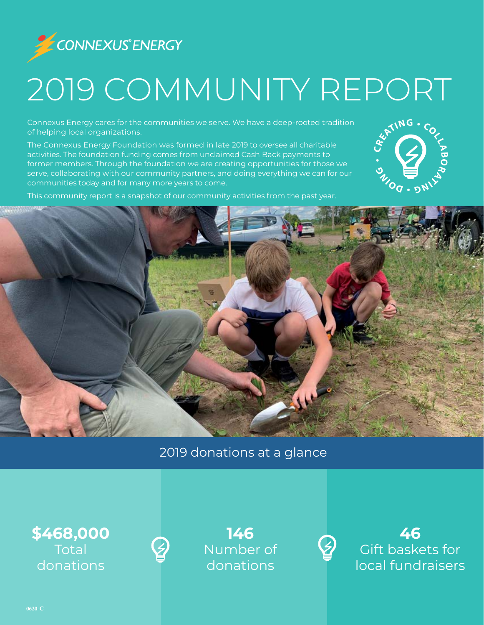

# 2019 COMMUNITY REPORT

Connexus Energy cares for the communities we serve. We have a deep-rooted tradition of helping local organizations.

The Connexus Energy Foundation was formed in late 2019 to oversee all charitable activities. The foundation funding comes from unclaimed Cash Back payments to former members. Through the foundation we are creating opportunities for those we serve, collaborating with our community partners, and doing everything we can for our communities today and for many more years to come.



This community report is a snapshot of our community activities from the past year.



### 2019 donations at a glance

**\$468,000 Total** donations



**146** Number of donations



**46** Gift baskets for local fundraisers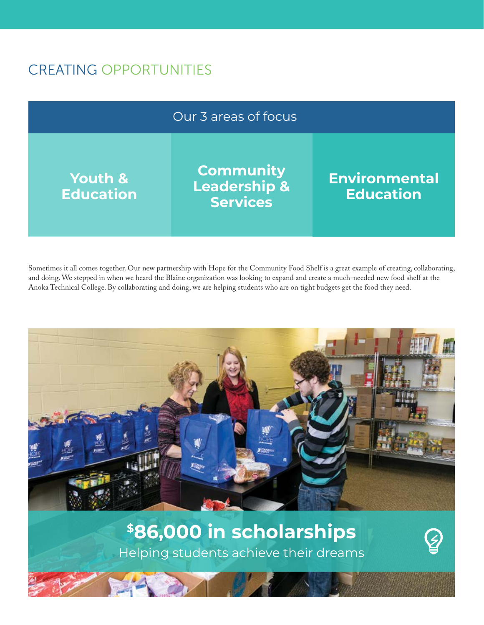# CREATING OPPORTUNITIES



Sometimes it all comes together. Our new partnership with Hope for the Community Food Shelf is a great example of creating, collaborating, and doing. We stepped in when we heard the Blaine organization was looking to expand and create a much-needed new food shelf at the Anoka Technical College. By collaborating and doing, we are helping students who are on tight budgets get the food they need.



Helping students achieve their dreams **\$86,000 in scholarships**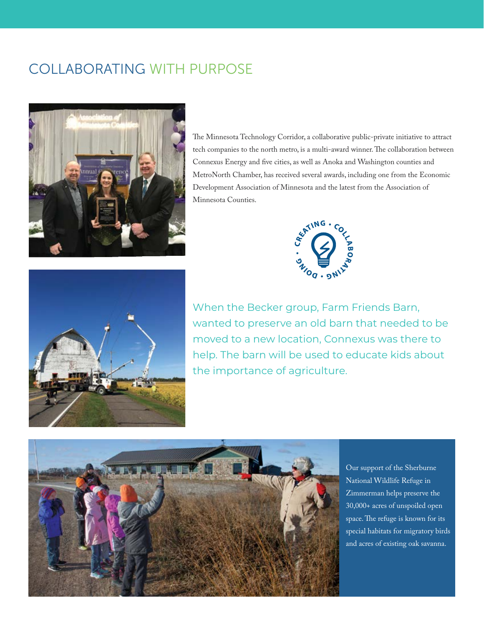# COLLABORATING WITH PURPOSE



The Minnesota Technology Corridor, a collaborative public-private initiative to attract tech companies to the north metro, is a multi-award winner. The collaboration between Connexus Energy and five cities, as well as Anoka and Washington counties and MetroNorth Chamber, has received several awards, including one from the Economic Development Association of Minnesota and the latest from the Association of Minnesota Counties.





When the Becker group, Farm Friends Barn, wanted to preserve an old barn that needed to be moved to a new location, Connexus was there to help. The barn will be used to educate kids about the importance of agriculture.



Our support of the Sherburne National Wildlife Refuge in Zimmerman helps preserve the 30,000+ acres of unspoiled open space. The refuge is known for its special habitats for migratory birds and acres of existing oak savanna.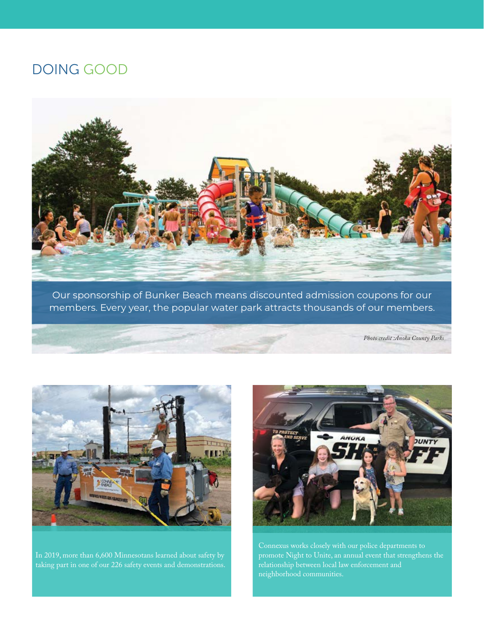#### DOING GOOD



Our sponsorship of Bunker Beach means discounted admission coupons for our members. Every year, the popular water park attracts thousands of our members.

*Photo credit :Anoka County Parks*



taking part in one of our 226 safety events and demonstrations.



promote Night to Unite, an annual event that strengthens the neighborhood communities.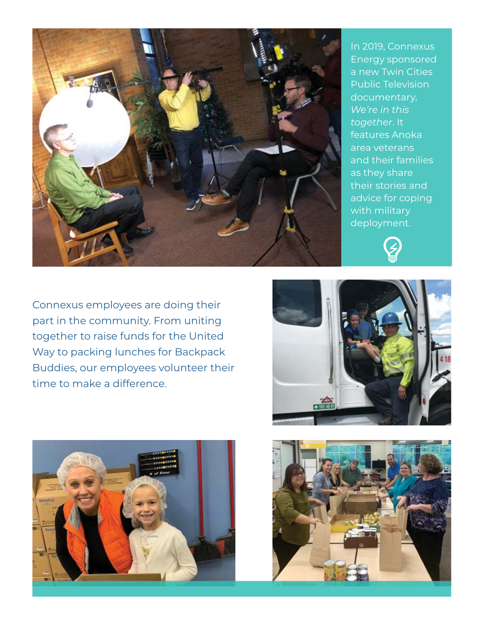

In 2019, Connexus Energy sponsored a new Twin Cities Public Television documentary, *We're in this together*. It features Anoka area veterans and their families as they share their stories and advice for coping with military deployment.



Connexus employees are doing their part in the community. From uniting together to raise funds for the United Way to packing lunches for Backpack Buddies, our employees volunteer their time to make a difference.